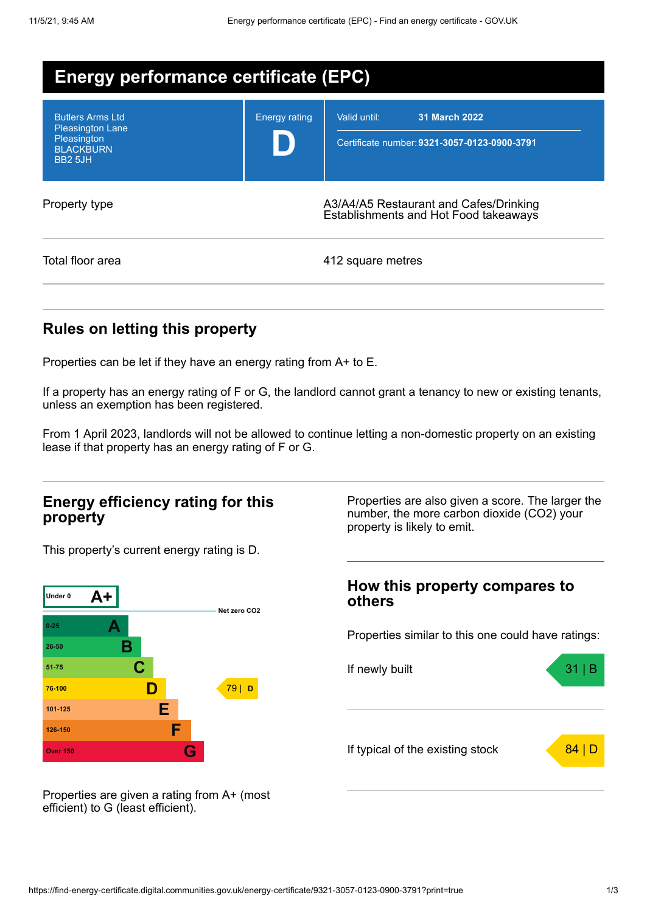| <b>Energy performance certificate (EPC)</b>                                                             |                      |                                                                                 |  |
|---------------------------------------------------------------------------------------------------------|----------------------|---------------------------------------------------------------------------------|--|
| <b>Butlers Arms Ltd</b><br><b>Pleasington Lane</b><br>Pleasington<br><b>BLACKBURN</b><br><b>BB2 5JH</b> | <b>Energy rating</b> | Valid until:<br>31 March 2022<br>Certificate number: 9321-3057-0123-0900-3791   |  |
| Property type                                                                                           |                      | A3/A4/A5 Restaurant and Cafes/Drinking<br>Establishments and Hot Food takeaways |  |
| Total floor area                                                                                        |                      | 412 square metres                                                               |  |

## **Rules on letting this property**

Properties can be let if they have an energy rating from A+ to E.

If a property has an energy rating of F or G, the landlord cannot grant a tenancy to new or existing tenants, unless an exemption has been registered.

From 1 April 2023, landlords will not be allowed to continue letting a non-domestic property on an existing lease if that property has an energy rating of F or G.

### **Energy efficiency rating for this property**

This property's current energy rating is D.



Properties are also given a score. The larger the number, the more carbon dioxide (CO2) your property is likely to emit.

### **How this property compares to others**

Properties similar to this one could have ratings:



Properties are given a rating from A+ (most efficient) to G (least efficient).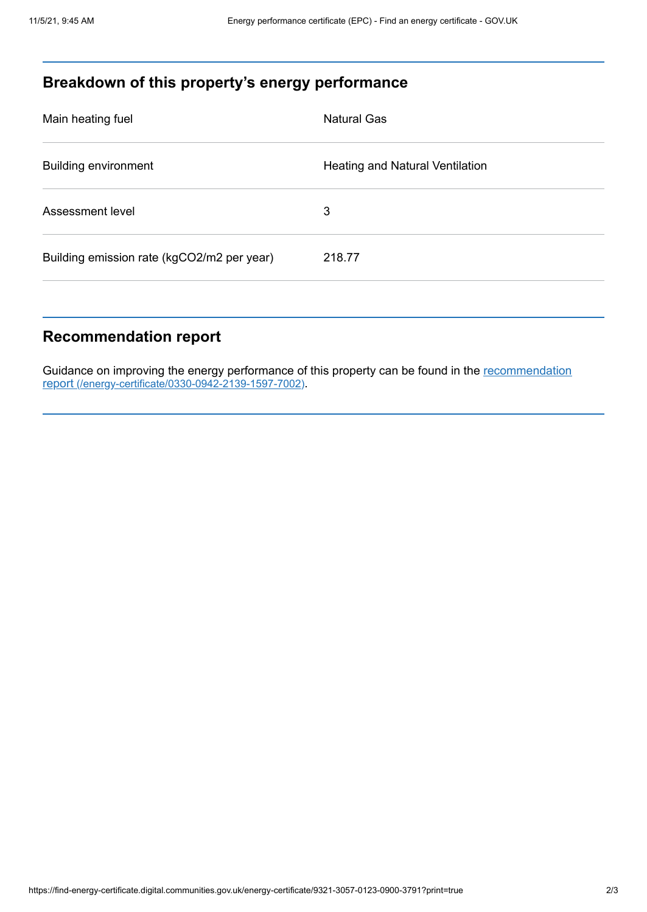# **Breakdown of this property's energy performance**

| Main heating fuel                          | <b>Natural Gas</b>                     |
|--------------------------------------------|----------------------------------------|
| <b>Building environment</b>                | <b>Heating and Natural Ventilation</b> |
| Assessment level                           | 3                                      |
| Building emission rate (kgCO2/m2 per year) | 218.77                                 |

## **Recommendation report**

Guidance on improving the energy performance of this property can be found in the recommendation report [\(/energy-certificate/0330-0942-2139-1597-7002\)](https://find-energy-certificate.digital.communities.gov.uk/energy-certificate/0330-0942-2139-1597-7002).